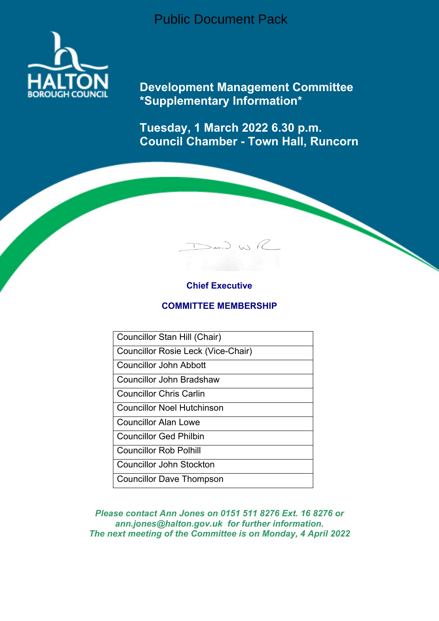Public Document Pack



**Development Management Committee \*Supplementary Information\***

**Tuesday, 1 March 2022 6.30 p.m. Council Chamber - Town Hall, Runcorn**

 $D$ avid WR

# **Chief Executive**

### **COMMITTEE MEMBERSHIP**

Councillor Stan Hill (Chair)

Councillor Rosie Leck (Vice-Chair)

Councillor John Abbott

Councillor John Bradshaw

Councillor Chris Carlin

Councillor Noel Hutchinson

Councillor Alan Lowe

Councillor Ged Philbin

Councillor Rob Polhill

Councillor John Stockton

Councillor Dave Thompson

*Please contact Ann Jones on 0151 511 8276 Ext. 16 8276 or ann.jones@halton.gov.uk for further information. The next meeting of the Committee is on Monday, 4 April 2022*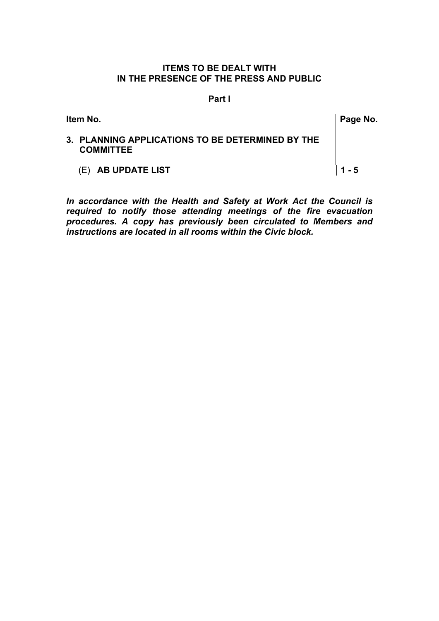## **ITEMS TO BE DEALT WITH IN THE PRESENCE OF THE PRESS AND PUBLIC**

#### **Part l**

| ltem No.                                                             | Page No. |
|----------------------------------------------------------------------|----------|
| 3. PLANNING APPLICATIONS TO BE DETERMINED BY THE<br><b>COMMITTEE</b> |          |
| (E) AB UPDATE LIST                                                   | $1 - 5$  |

*In accordance with the Health and Safety at Work Act the Council is required to notify those attending meetings of the fire evacuation procedures. A copy has previously been circulated to Members and instructions are located in all rooms within the Civic block.*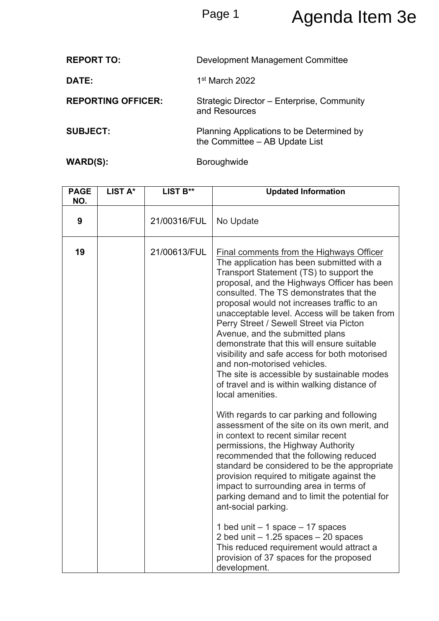# Page 1 Agenda Item 3e

| <b>REPORT TO:</b>         | Development Management Committee                                            |
|---------------------------|-----------------------------------------------------------------------------|
| DATE:                     | 1 <sup>st</sup> March 2022                                                  |
| <b>REPORTING OFFICER:</b> | Strategic Director - Enterprise, Community<br>and Resources                 |
| <b>SUBJECT:</b>           | Planning Applications to be Determined by<br>the Committee - AB Update List |
| WARD(S):                  | <b>Boroughwide</b>                                                          |

| <b>PAGE</b><br>NO. | LIST A* | LIST B**     | <b>Updated Information</b>                                                                                                                                                                                                                                                                                                                                                                                                                                                                                                                                                                                                                                     |
|--------------------|---------|--------------|----------------------------------------------------------------------------------------------------------------------------------------------------------------------------------------------------------------------------------------------------------------------------------------------------------------------------------------------------------------------------------------------------------------------------------------------------------------------------------------------------------------------------------------------------------------------------------------------------------------------------------------------------------------|
| 9                  |         | 21/00316/FUL | No Update                                                                                                                                                                                                                                                                                                                                                                                                                                                                                                                                                                                                                                                      |
| 19                 |         | 21/00613/FUL | <b>Final comments from the Highways Officer</b><br>The application has been submitted with a<br>Transport Statement (TS) to support the<br>proposal, and the Highways Officer has been<br>consulted. The TS demonstrates that the<br>proposal would not increases traffic to an<br>unacceptable level. Access will be taken from<br>Perry Street / Sewell Street via Picton<br>Avenue, and the submitted plans<br>demonstrate that this will ensure suitable<br>visibility and safe access for both motorised<br>and non-motorised vehicles.<br>The site is accessible by sustainable modes<br>of travel and is within walking distance of<br>local amenities. |
|                    |         |              | With regards to car parking and following<br>assessment of the site on its own merit, and<br>in context to recent similar recent<br>permissions, the Highway Authority<br>recommended that the following reduced<br>standard be considered to be the appropriate<br>provision required to mitigate against the<br>impact to surrounding area in terms of<br>parking demand and to limit the potential for<br>ant-social parking.<br>1 bed unit $-1$ space $-17$ spaces<br>2 bed unit $-1.25$ spaces $-20$ spaces<br>This reduced requirement would attract a<br>provision of 37 spaces for the proposed<br>development.                                        |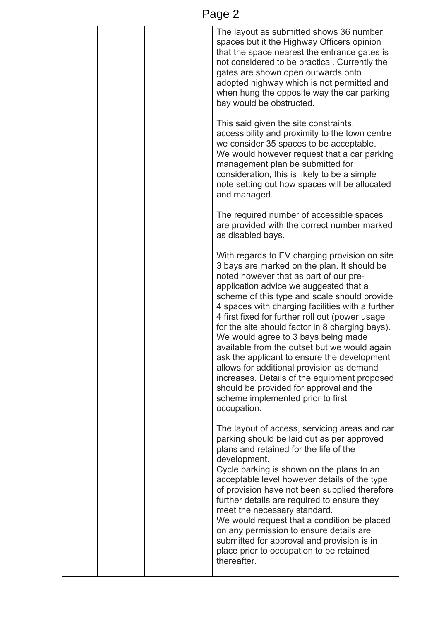| ◠<br>- 1 |
|----------|
|----------|

|  | The layout as submitted shows 36 number<br>spaces but it the Highway Officers opinion<br>that the space nearest the entrance gates is<br>not considered to be practical. Currently the<br>gates are shown open outwards onto<br>adopted highway which is not permitted and<br>when hung the opposite way the car parking<br>bay would be obstructed.                                                                                                                                                                                                                                                                                                                                                                         |
|--|------------------------------------------------------------------------------------------------------------------------------------------------------------------------------------------------------------------------------------------------------------------------------------------------------------------------------------------------------------------------------------------------------------------------------------------------------------------------------------------------------------------------------------------------------------------------------------------------------------------------------------------------------------------------------------------------------------------------------|
|  | This said given the site constraints,<br>accessibility and proximity to the town centre<br>we consider 35 spaces to be acceptable.<br>We would however request that a car parking<br>management plan be submitted for<br>consideration, this is likely to be a simple<br>note setting out how spaces will be allocated<br>and managed.                                                                                                                                                                                                                                                                                                                                                                                       |
|  | The required number of accessible spaces<br>are provided with the correct number marked<br>as disabled bays.                                                                                                                                                                                                                                                                                                                                                                                                                                                                                                                                                                                                                 |
|  | With regards to EV charging provision on site<br>3 bays are marked on the plan. It should be<br>noted however that as part of our pre-<br>application advice we suggested that a<br>scheme of this type and scale should provide<br>4 spaces with charging facilities with a further<br>4 first fixed for further roll out (power usage<br>for the site should factor in 8 charging bays).<br>We would agree to 3 bays being made<br>available from the outset but we would again<br>ask the applicant to ensure the development<br>allows for additional provision as demand<br>increases. Details of the equipment proposed<br>should be provided for approval and the<br>scheme implemented prior to first<br>occupation. |
|  | The layout of access, servicing areas and car<br>parking should be laid out as per approved<br>plans and retained for the life of the<br>development.<br>Cycle parking is shown on the plans to an<br>acceptable level however details of the type<br>of provision have not been supplied therefore                                                                                                                                                                                                                                                                                                                                                                                                                          |
|  | further details are required to ensure they<br>meet the necessary standard.<br>We would request that a condition be placed<br>on any permission to ensure details are<br>submitted for approval and provision is in<br>place prior to occupation to be retained<br>thereafter.                                                                                                                                                                                                                                                                                                                                                                                                                                               |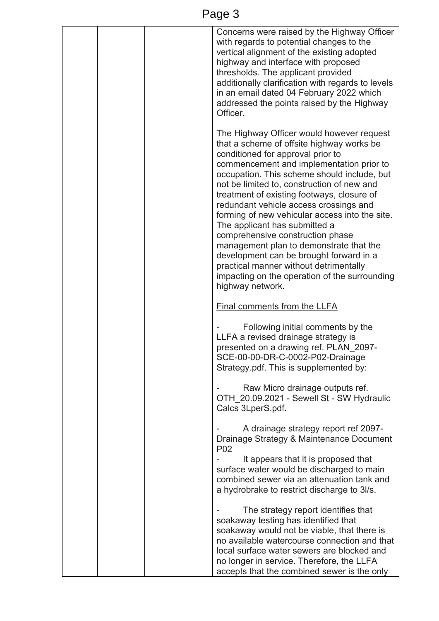| age |  |
|-----|--|
|     |  |

|  | Concerns were raised by the Highway Officer<br>with regards to potential changes to the<br>vertical alignment of the existing adopted<br>highway and interface with proposed<br>thresholds. The applicant provided<br>additionally clarification with regards to levels<br>in an email dated 04 February 2022 which<br>addressed the points raised by the Highway<br>Officer.                                                                                                                                                                                                                                                                                                            |
|--|------------------------------------------------------------------------------------------------------------------------------------------------------------------------------------------------------------------------------------------------------------------------------------------------------------------------------------------------------------------------------------------------------------------------------------------------------------------------------------------------------------------------------------------------------------------------------------------------------------------------------------------------------------------------------------------|
|  | The Highway Officer would however request<br>that a scheme of offsite highway works be<br>conditioned for approval prior to<br>commencement and implementation prior to<br>occupation. This scheme should include, but<br>not be limited to, construction of new and<br>treatment of existing footways, closure of<br>redundant vehicle access crossings and<br>forming of new vehicular access into the site.<br>The applicant has submitted a<br>comprehensive construction phase<br>management plan to demonstrate that the<br>development can be brought forward in a<br>practical manner without detrimentally<br>impacting on the operation of the surrounding<br>highway network. |
|  | <b>Final comments from the LLFA</b>                                                                                                                                                                                                                                                                                                                                                                                                                                                                                                                                                                                                                                                      |
|  | Following initial comments by the<br>LLFA a revised drainage strategy is<br>presented on a drawing ref. PLAN_2097-<br>SCE-00-00-DR-C-0002-P02-Drainage<br>Strategy.pdf. This is supplemented by:                                                                                                                                                                                                                                                                                                                                                                                                                                                                                         |
|  | Raw Micro drainage outputs ref.<br>OTH 20.09.2021 - Sewell St - SW Hydraulic<br>Calcs 3LperS.pdf.                                                                                                                                                                                                                                                                                                                                                                                                                                                                                                                                                                                        |
|  | A drainage strategy report ref 2097-<br>Drainage Strategy & Maintenance Document<br>P <sub>02</sub><br>It appears that it is proposed that<br>surface water would be discharged to main<br>combined sewer via an attenuation tank and<br>a hydrobrake to restrict discharge to 3l/s.                                                                                                                                                                                                                                                                                                                                                                                                     |
|  | The strategy report identifies that<br>soakaway testing has identified that<br>soakaway would not be viable, that there is<br>no available watercourse connection and that<br>local surface water sewers are blocked and<br>no longer in service. Therefore, the LLFA<br>accepts that the combined sewer is the only                                                                                                                                                                                                                                                                                                                                                                     |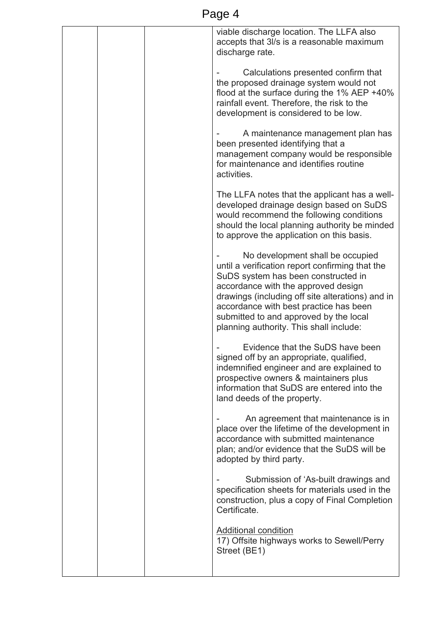| viable discharge location. The LLFA also<br>accepts that 3l/s is a reasonable maximum<br>discharge rate.                                                                                                                                                                                                                                             |
|------------------------------------------------------------------------------------------------------------------------------------------------------------------------------------------------------------------------------------------------------------------------------------------------------------------------------------------------------|
| Calculations presented confirm that<br>the proposed drainage system would not<br>flood at the surface during the $1\%$ AEP +40%<br>rainfall event. Therefore, the risk to the<br>development is considered to be low.                                                                                                                                |
| A maintenance management plan has<br>been presented identifying that a<br>management company would be responsible<br>for maintenance and identifies routine<br>activities.                                                                                                                                                                           |
| The LLFA notes that the applicant has a well-<br>developed drainage design based on SuDS<br>would recommend the following conditions<br>should the local planning authority be minded<br>to approve the application on this basis.                                                                                                                   |
| No development shall be occupied<br>until a verification report confirming that the<br>SuDS system has been constructed in<br>accordance with the approved design<br>drawings (including off site alterations) and in<br>accordance with best practice has been<br>submitted to and approved by the local<br>planning authority. This shall include: |
| Evidence that the SuDS have been<br>signed off by an appropriate, qualified,<br>indemnified engineer and are explained to<br>prospective owners & maintainers plus<br>information that SuDS are entered into the<br>land deeds of the property.                                                                                                      |
| An agreement that maintenance is in<br>place over the lifetime of the development in<br>accordance with submitted maintenance<br>plan; and/or evidence that the SuDS will be<br>adopted by third party.                                                                                                                                              |
| Submission of 'As-built drawings and<br>specification sheets for materials used in the<br>construction, plus a copy of Final Completion<br>Certificate.                                                                                                                                                                                              |
| <b>Additional condition</b><br>17) Offsite highways works to Sewell/Perry<br>Street (BE1)                                                                                                                                                                                                                                                            |
|                                                                                                                                                                                                                                                                                                                                                      |